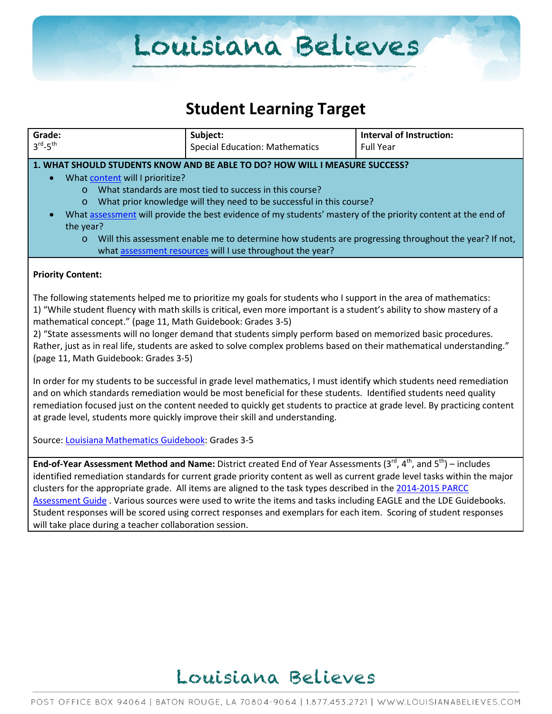### **Student Learning Target**

| Grade:                                                                                                                                                                                                                                      | Subject:                                                                                                               | <b>Interval of Instruction:</b> |  |  |
|---------------------------------------------------------------------------------------------------------------------------------------------------------------------------------------------------------------------------------------------|------------------------------------------------------------------------------------------------------------------------|---------------------------------|--|--|
| $3^{\text{rd}} - 5^{\text{th}}$                                                                                                                                                                                                             | <b>Special Education: Mathematics</b>                                                                                  | <b>Full Year</b>                |  |  |
|                                                                                                                                                                                                                                             |                                                                                                                        |                                 |  |  |
|                                                                                                                                                                                                                                             | 1. WHAT SHOULD STUDENTS KNOW AND BE ABLE TO DO? HOW WILL I MEASURE SUCCESS?                                            |                                 |  |  |
| What content will I prioritize?                                                                                                                                                                                                             | What standards are most tied to success in this course?                                                                |                                 |  |  |
| $\Omega$<br>$\circ$                                                                                                                                                                                                                         | What prior knowledge will they need to be successful in this course?                                                   |                                 |  |  |
|                                                                                                                                                                                                                                             | What assessment will provide the best evidence of my students' mastery of the priority content at the end of           |                                 |  |  |
| the year?                                                                                                                                                                                                                                   |                                                                                                                        |                                 |  |  |
| $\circ$                                                                                                                                                                                                                                     | Will this assessment enable me to determine how students are progressing throughout the year? If not,                  |                                 |  |  |
|                                                                                                                                                                                                                                             | what assessment resources will I use throughout the year?                                                              |                                 |  |  |
|                                                                                                                                                                                                                                             |                                                                                                                        |                                 |  |  |
| <b>Priority Content:</b>                                                                                                                                                                                                                    |                                                                                                                        |                                 |  |  |
|                                                                                                                                                                                                                                             |                                                                                                                        |                                 |  |  |
| The following statements helped me to prioritize my goals for students who I support in the area of mathematics:<br>1) "While student fluency with math skills is critical, even more important is a student's ability to show mastery of a |                                                                                                                        |                                 |  |  |
| mathematical concept." (page 11, Math Guidebook: Grades 3-5)                                                                                                                                                                                |                                                                                                                        |                                 |  |  |
|                                                                                                                                                                                                                                             | 2) "State assessments will no longer demand that students simply perform based on memorized basic procedures.          |                                 |  |  |
|                                                                                                                                                                                                                                             | Rather, just as in real life, students are asked to solve complex problems based on their mathematical understanding." |                                 |  |  |
| (page 11, Math Guidebook: Grades 3-5)                                                                                                                                                                                                       |                                                                                                                        |                                 |  |  |
|                                                                                                                                                                                                                                             |                                                                                                                        |                                 |  |  |
| In order for my students to be successful in grade level mathematics, I must identify which students need remediation                                                                                                                       |                                                                                                                        |                                 |  |  |
| and on which standards remediation would be most beneficial for these students. Identified students need quality                                                                                                                            |                                                                                                                        |                                 |  |  |
| remediation focused just on the content needed to quickly get students to practice at grade level. By practicing content                                                                                                                    |                                                                                                                        |                                 |  |  |
| at grade level, students more quickly improve their skill and understanding.                                                                                                                                                                |                                                                                                                        |                                 |  |  |
| Source: Louisiana Mathematics Guidebook: Grades 3-5                                                                                                                                                                                         |                                                                                                                        |                                 |  |  |
|                                                                                                                                                                                                                                             |                                                                                                                        |                                 |  |  |
| End-of-Year Assessment Method and Name: District created End of Year Assessments (3 <sup>rd</sup> , 4 <sup>th</sup> , and 5 <sup>th</sup> ) – includes                                                                                      |                                                                                                                        |                                 |  |  |
| identified remediation standards for current grade priority content as well as current grade level tasks within the major                                                                                                                   |                                                                                                                        |                                 |  |  |
| clusters for the appropriate grade. All items are aligned to the task types described in the 2014-2015 PARCC                                                                                                                                |                                                                                                                        |                                 |  |  |
| Assessment Guide. Various sources were used to write the items and tasks including EAGLE and the LDE Guidebooks.                                                                                                                            |                                                                                                                        |                                 |  |  |
| Student responses will be scored using correct responses and exemplars for each item. Scoring of student responses                                                                                                                          |                                                                                                                        |                                 |  |  |
| will take place during a teacher collaboration session.                                                                                                                                                                                     |                                                                                                                        |                                 |  |  |

## Louisiana Believes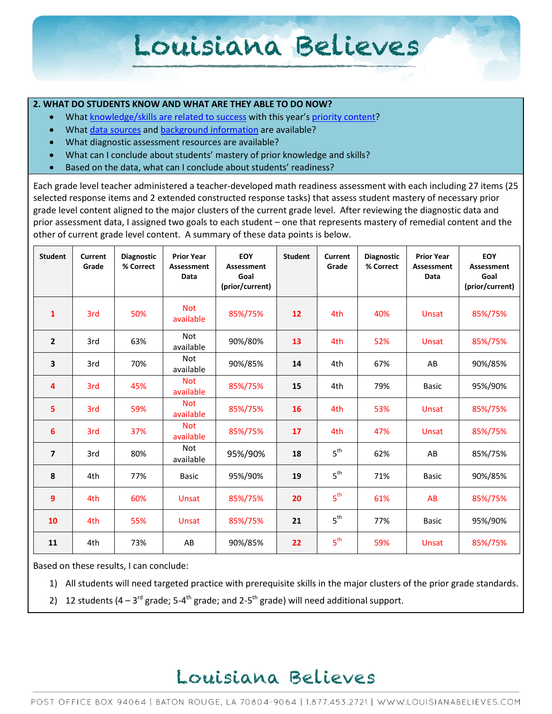#### **2. WHAT DO STUDENTS KNOW AND WHAT ARE THEY ABLE TO DO NOW?**

- Wha[t knowledge/skills are related to success](http://www.louisianabelieves.com/academics/2014-2015-curricular-package) with this year's [priority content?](http://www.louisianabelieves.com/resources/classroom-support-toolbox/teacher-support-toolbox/standards)
- Wha[t data sources](http://www.louisianabelieves.com/resources/classroom-support-toolbox/teacher-support-toolbox/student-achievement-results) and [background information](http://www.louisianabelieves.com/resources/library/data-center) are available?
- What diagnostic assessment resources are available?
- What can I conclude about students' mastery of prior knowledge and skills?
- Based on the data, what can I conclude about students' readiness?

Each grade level teacher administered a teacher-developed math readiness assessment with each including 27 items (25 selected response items and 2 extended constructed response tasks) that assess student mastery of necessary prior grade level content aligned to the major clusters of the current grade level. After reviewing the diagnostic data and prior assessment data, I assigned two goals to each student – one that represents mastery of remedial content and the other of current grade level content. A summary of these data points is below.

| <b>Student</b>           | Current<br>Grade | <b>Diagnostic</b><br>% Correct | <b>Prior Year</b><br>Assessment<br>Data | EOY<br><b>Assessment</b><br>Goal<br>(prior/current) | <b>Student</b> | Current<br>Grade | <b>Diagnostic</b><br>% Correct | <b>Prior Year</b><br><b>Assessment</b><br>Data | EOY<br><b>Assessment</b><br>Goal<br>(prior/current) |
|--------------------------|------------------|--------------------------------|-----------------------------------------|-----------------------------------------------------|----------------|------------------|--------------------------------|------------------------------------------------|-----------------------------------------------------|
| $\mathbf{1}$             | 3rd              | 50%                            | <b>Not</b><br>available                 | 85%/75%                                             | 12             | 4th              | 40%                            | <b>Unsat</b>                                   | 85%/75%                                             |
| $\overline{2}$           | 3rd              | 63%                            | <b>Not</b><br>available                 | 90%/80%                                             | 13             | 4th              | 52%                            | <b>Unsat</b>                                   | 85%/75%                                             |
| 3                        | 3rd              | 70%                            | <b>Not</b><br>available                 | 90%/85%                                             | 14             | 4th              | 67%                            | AB                                             | 90%/85%                                             |
| 4                        | 3rd              | 45%                            | <b>Not</b><br>available                 | 85%/75%                                             | 15             | 4th              | 79%                            | <b>Basic</b>                                   | 95%/90%                                             |
| 5                        | 3rd              | 59%                            | <b>Not</b><br>available                 | 85%/75%                                             | 16             | 4th              | 53%                            | Unsat                                          | 85%/75%                                             |
| 6                        | 3rd              | 37%                            | <b>Not</b><br>available                 | 85%/75%                                             | 17             | 4th              | 47%                            | <b>Unsat</b>                                   | 85%/75%                                             |
| $\overline{\phantom{a}}$ | 3rd              | 80%                            | Not<br>available                        | 95%/90%                                             | 18             | 5 <sup>th</sup>  | 62%                            | AB                                             | 85%/75%                                             |
| 8                        | 4th              | 77%                            | <b>Basic</b>                            | 95%/90%                                             | 19             | 5 <sup>th</sup>  | 71%                            | <b>Basic</b>                                   | 90%/85%                                             |
| 9                        | 4th              | 60%                            | <b>Unsat</b>                            | 85%/75%                                             | 20             | 5 <sup>th</sup>  | 61%                            | AB                                             | 85%/75%                                             |
| 10                       | 4th              | 55%                            | <b>Unsat</b>                            | 85%/75%                                             | 21             | 5 <sup>th</sup>  | 77%                            | <b>Basic</b>                                   | 95%/90%                                             |
| 11                       | 4th              | 73%                            | AB                                      | 90%/85%                                             | 22             | 5 <sup>th</sup>  | 59%                            | Unsat                                          | 85%/75%                                             |

Based on these results, I can conclude:

- 1) All students will need targeted practice with prerequisite skills in the major clusters of the prior grade standards.
- 2) 12 students (4 3<sup>rd</sup> grade; 5-4<sup>th</sup> grade; and 2-5<sup>th</sup> grade) will need additional support.

### Louisiana Believes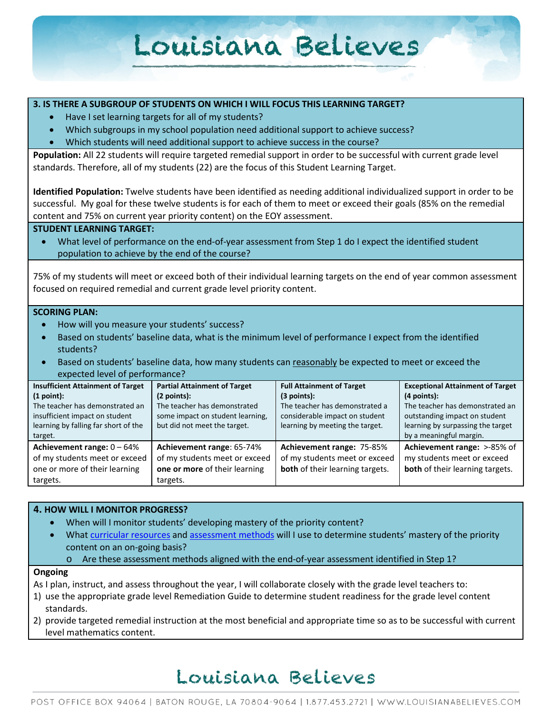#### **3. IS THERE A SUBGROUP OF STUDENTS ON WHICH I WILL FOCUS THIS LEARNING TARGET?**

- Have I set learning targets for all of my students?
- Which subgroups in my school population need additional support to achieve success?
- Which students will need additional support to achieve success in the course?

**Population:** All 22 students will require targeted remedial support in order to be successful with current grade level standards. Therefore, all of my students (22) are the focus of this Student Learning Target.

**Identified Population:** Twelve students have been identified as needing additional individualized support in order to be successful. My goal for these twelve students is for each of them to meet or exceed their goals (85% on the remedial content and 75% on current year priority content) on the EOY assessment.

#### **STUDENT LEARNING TARGET:**

• What level of performance on the end-of-year assessment from Step 1 do I expect the identified student population to achieve by the end of the course?

75% of my students will meet or exceed both of their individual learning targets on the end of year common assessment focused on required remedial and current grade level priority content.

#### **SCORING PLAN:**

- How will you measure your students' success?
- Based on students' baseline data, what is the minimum level of performance I expect from the identified students?
- Based on students' baseline data, how many students can reasonably be expected to meet or exceed the expected level of performance?

| <b>Insufficient Attainment of Target</b> | <b>Partial Attainment of Target</b> | <b>Full Attainment of Target</b> | <b>Exceptional Attainment of Target</b> |
|------------------------------------------|-------------------------------------|----------------------------------|-----------------------------------------|
| (1 point):                               | (2 points):                         | (3 points):                      | $(4$ points):                           |
| The teacher has demonstrated an          | The teacher has demonstrated        | The teacher has demonstrated a   | The teacher has demonstrated an         |
| insufficient impact on student           | some impact on student learning,    | considerable impact on student   | outstanding impact on student           |
| learning by falling far short of the     | but did not meet the target.        | learning by meeting the target.  | learning by surpassing the target       |
| target.                                  |                                     |                                  | by a meaningful margin.                 |
| Achievement range: $0 - 64%$             | Achievement range: 65-74%           | Achievement range: 75-85%        | Achievement range: >-85% of             |
| of my students meet or exceed            | of my students meet or exceed       | of my students meet or exceed    | my students meet or exceed              |
| one or more of their learning            | one or more of their learning       | both of their learning targets.  | both of their learning targets.         |
| targets.                                 | targets.                            |                                  |                                         |

#### **4. HOW WILL I MONITOR PROGRESS?**

- When will I monitor students' developing mastery of the priority content?
- What [curricular resources](http://www.louisianabelieves.com/resources/library/year-long-scope-sequence) an[d assessment methods](http://www.louisianabelieves.com/resources/classroom-support-toolbox/teacher-support-toolbox/end-of-year-assessments) will I use to determine students' mastery of the priority content on an on-going basis?
	- o Are these assessment methods aligned with the end-of-year assessment identified in Step 1?

#### **Ongoing**

As I plan, instruct, and assess throughout the year, I will collaborate closely with the grade level teachers to:

- 1) use the appropriate grade level Remediation Guide to determine student readiness for the grade level content standards.
- 2) provide targeted remedial instruction at the most beneficial and appropriate time so as to be successful with current level mathematics content.

## Louisiana Believes